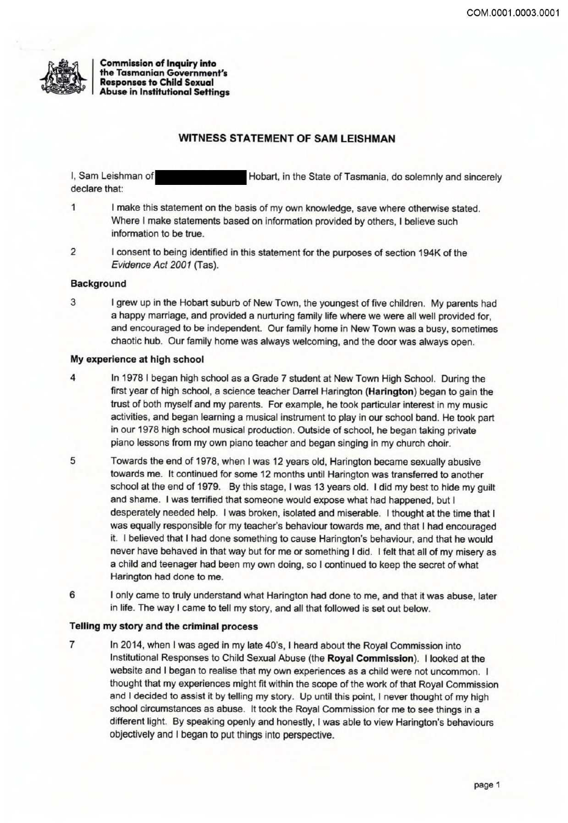

**Commission of Inquiry into** the Tasmanian Government's **Responses to Child Sexual Abuse in Institutional Settings** 

# **WITNESS STATEMENT OF SAM LEISHMAN**

I, Sam Leishman of Hobart, in the State of Tasmania, do solemnly and sincerely declare that:

 $\mathbf{1}$ I make this statement on the basis of my own knowledge, save where otherwise stated. Where I make statements based on information provided by others, I believe such information to be true.

 $\overline{2}$ I consent to being identified in this statement for the purposes of section 194K of the Evidence Act 2001 (Tas).

## **Background**

3 I grew up in the Hobart suburb of New Town, the youngest of five children. My parents had a happy marriage, and provided a nurturing family life where we were all well provided for. and encouraged to be independent. Our family home in New Town was a busy, sometimes chaotic hub. Our family home was always welcoming, and the door was always open.

#### My experience at high school

- 4 In 1978 I began high school as a Grade 7 student at New Town High School. During the first year of high school, a science teacher Darrel Harington (Harington) began to gain the trust of both myself and my parents. For example, he took particular interest in my music activities, and began learning a musical instrument to play in our school band. He took part in our 1978 high school musical production. Outside of school, he began taking private piano lessons from my own piano teacher and began singing in my church choir.
- 5 Towards the end of 1978, when I was 12 years old, Harington became sexually abusive towards me. It continued for some 12 months until Harington was transferred to another school at the end of 1979. By this stage, I was 13 years old. I did my best to hide my guilt and shame. I was terrified that someone would expose what had happened, but I desperately needed help. I was broken, isolated and miserable. I thought at the time that I was equally responsible for my teacher's behaviour towards me, and that I had encouraged it. I believed that I had done something to cause Harington's behaviour, and that he would never have behaved in that way but for me or something I did. I felt that all of my misery as a child and teenager had been my own doing, so I continued to keep the secret of what Harington had done to me.
- 6 I only came to truly understand what Harington had done to me, and that it was abuse, later in life. The way I came to tell my story, and all that followed is set out below.

### Telling my story and the criminal process

 $\overline{7}$ In 2014, when I was aged in my late 40's, I heard about the Royal Commission into Institutional Responses to Child Sexual Abuse (the Royal Commission). I looked at the website and I began to realise that my own experiences as a child were not uncommon. I thought that my experiences might fit within the scope of the work of that Royal Commission and I decided to assist it by telling my story. Up until this point, I never thought of my high school circumstances as abuse. It took the Royal Commission for me to see things in a different light. By speaking openly and honestly, I was able to view Harington's behaviours objectively and I began to put things into perspective.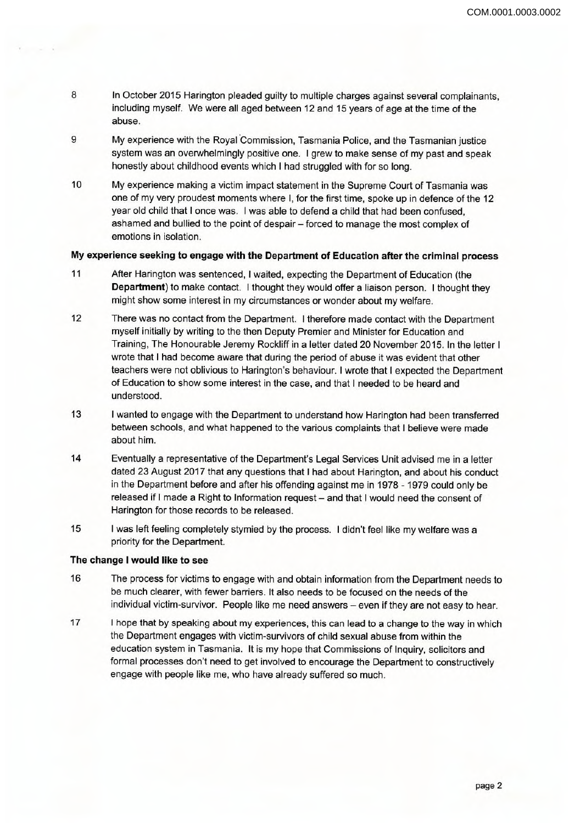- **8** In October 2015 Harington pleaded guilty to multiple charges against several complainants, including myself. We were all aged between 12 and 15 years of age at the time of the abuse.
- **9** My experience with the Royal Commission, Tasmania Police, and the Tasmanian justice system was an overwhelmingly positive one. <sup>I</sup> grew to make sense of my past and speak honestly about childhood events which I had struggled with for so long.
- **10** My experience making a victim impact statement in the Supreme Court of Tasmania was one of my very proudest moments where I, for the first time, spoke up in defence of the 12 year old child that <sup>I</sup> once was. <sup>I</sup> was able to defend a child that had been confused, ashamed and bullied to the point of despair - forced to manage the most complex of emotions in isolation.

## **My experience seeking to engage with the Department of Education after the criminal process**

- **11** After Harington was sentenced, <sup>I</sup> waited, expecting the Department of Education (the **Department)** to make contact. <sup>I</sup> thought they would offer a liaison person. <sup>I</sup> thought they might show some interest in my circumstances or wonder about my welfare.
- **12** There was no contact from the Department. <sup>I</sup> therefore made contact with the Department myself initially by writing to the then Deputy Premier and Minister for Education and Training, The Honourable Jeremy Rockliff in a letter dated 20 November 2015. In the letter <sup>I</sup> wrote that <sup>I</sup> had become aware that during the period of abuse it was evident that other teachers were not oblivious to Harington's behaviour. <sup>I</sup> wrote that <sup>I</sup> expected the Department of Education to show some interest in the case, and that <sup>I</sup> needed to be heard and understood.
- **13** <sup>I</sup> wanted to engage with the Department to understand how Harington had been transferred between schools, and what happened to the various complaints that <sup>I</sup> believe were made about him.
- **14** Eventually a representative of the Department's Legal Services Unit advised me in a letter dated 23 August 2017 that any questions that <sup>I</sup> had about Harington, and about his conduct in the Department before and after his offending against me in 1978 - 1979 could only be released if I made a Right to Information request - and that I would need the consent of Harington for those records to be released.
- **15** <sup>I</sup> was left feeling completely stymied by the process. <sup>I</sup> didn't feel like my welfare was a priority for the Department.

## **The change <sup>I</sup> would like to see**

- The process for victims to engage with and obtain information from the Department needs to be much clearer, with fewer barriers. It also needs to be focused on the needs of the individual victim-survivor. People like me need answers - even if they are not easy to hear. **16**
- **17** <sup>I</sup> hope that by speaking about my experiences, this can lead to a change to the way in which the Department engages with victim-survivors of child sexual abuse from within the education system in Tasmania. It is my hope that Commissions of Inquiry, solicitors and formal processes don't need to get involved to encourage the Department to constructively engage with people like me, who have already suffered so much.